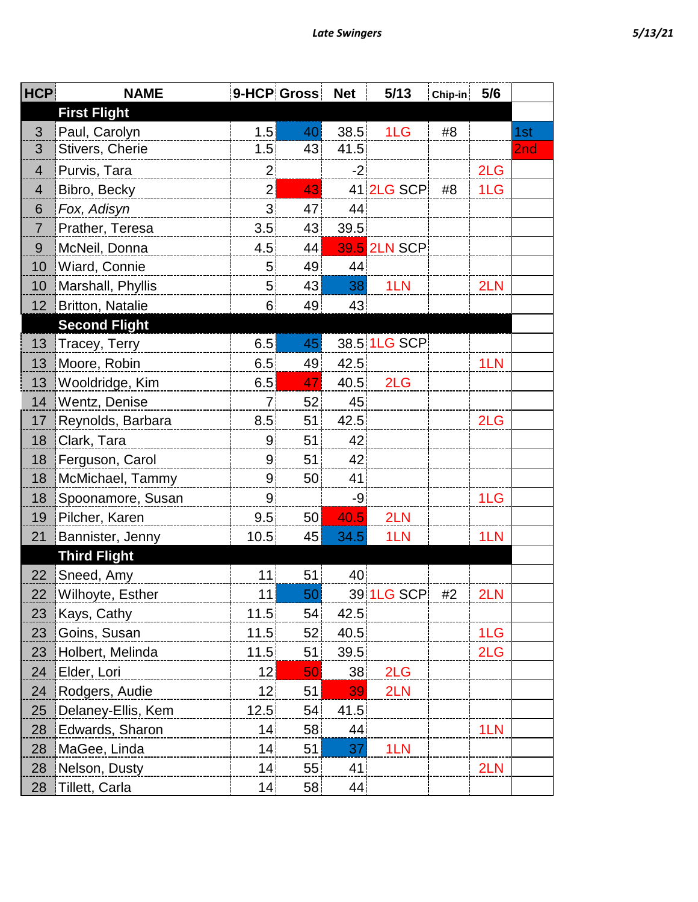| <b>HCP</b>      | <b>NAME</b>          |                 | 9-HCP Gross | <b>Net</b> | 5/13           | Chip-in | 5/6 |     |
|-----------------|----------------------|-----------------|-------------|------------|----------------|---------|-----|-----|
|                 | <b>First Flight</b>  |                 |             |            |                |         |     |     |
| 3               | Paul, Carolyn        | 1.5             | 40          | 38.5       | 1 <sub>L</sub> | #8      |     | 1st |
| 3               | Stivers, Cherie      | 1.5             | 43          | 41.5       |                |         |     | 2nd |
| $\overline{4}$  | Purvis, Tara         | $\overline{2}$  |             | $-2$       |                |         | 2LG |     |
| $\overline{4}$  | Bibro, Becky         | $\overline{2}$  | 43          |            | 41 2LG SCP     | #8      | 1LG |     |
| 6               | Fox, Adisyn          | 3 <sup>1</sup>  | 47          | 44         |                |         |     |     |
| $\overline{7}$  | Prather, Teresa      | 3.5             | 43          | 39.5       |                |         |     |     |
| $9\,$           | McNeil, Donna        | 4.5             | 44          |            | 39.5 2LN SCP   |         |     |     |
| 10              | Wiard, Connie        | 5 <sup>1</sup>  | 49          | 44         |                |         |     |     |
| 10              | Marshall, Phyllis    | 5 <sup>1</sup>  | 43          | 38         | 1LN            |         | 2LN |     |
| 12              | Britton, Natalie     | 6 <sup>1</sup>  | 49          | 43         |                |         |     |     |
|                 | <b>Second Flight</b> |                 |             |            |                |         |     |     |
| 13              | Tracey, Terry        | 6.5             | 45          |            | 38.5 1LG SCP   |         |     |     |
| 13 <sup>°</sup> | Moore, Robin         | 6.5             | 49          | 42.5       |                |         | 1LN |     |
| 13              | Wooldridge, Kim      | 6.5             | 47          |            | 40.5 2LG       |         |     |     |
| 14              | Wentz, Denise        | 7 <sup>1</sup>  | 52          | 45         |                |         |     |     |
| 17              | Reynolds, Barbara    | 8.5             | 51          | 42.5       |                |         | 2LG |     |
| 18              | Clark, Tara          | 9               | 51          | 42         |                |         |     |     |
| 18              | Ferguson, Carol      | 9               | 51          | 42         |                |         |     |     |
| 18              | McMichael, Tammy     | 9 <sub>o</sub>  | 50          | 41         |                |         |     |     |
| 18              | Spoonamore, Susan    | 9 <sub>1</sub>  |             | -9         |                |         | 1LG |     |
| 19              | Pilcher, Karen       | 9.5             | 50          | 40.5       | 2LN            |         |     |     |
| 21              | Bannister, Jenny     | 10.5            | 45          | 34.5       | 1LN            |         | 1LN |     |
|                 | <b>Third Flight</b>  |                 |             |            |                |         |     |     |
| 22              | Sneed, Amy           | 11              | 51          | 40         |                |         |     |     |
| 22              | Wilhoyte, Esther     | 11              | 50          |            | 39 1LG SCP     | #2      | 2LN |     |
| 23              | Kays, Cathy          | 11.5            | 54          | 42.5       |                |         |     |     |
| 23              | Goins, Susan         | 11.5            | 52          | 40.5       |                |         | 1LG |     |
| 23              | Holbert, Melinda     | 11.5            | 51          | 39.5       |                |         | 2LG |     |
| 24              | Elder, Lori          | 12              | 50          | 38         | 2LG            |         |     |     |
| 24              | Rodgers, Audie       | 12 <sub>1</sub> | 51          | 39         | 2LN            |         |     |     |
| 25              | Delaney-Ellis, Kem   | 12.5            | 54          | 41.5       |                |         |     |     |
| 28              | Edwards, Sharon      | 14              | 58          | 44         |                |         | 1LN |     |
| 28              | MaGee, Linda         | 14              | 51          | 37         | 1LN            |         |     |     |
| 28              | Nelson, Dusty        | 14              | 55          | 41         |                |         | 2LN |     |
| 28              | Tillett, Carla       | 14              | 58          | 44         |                |         |     |     |